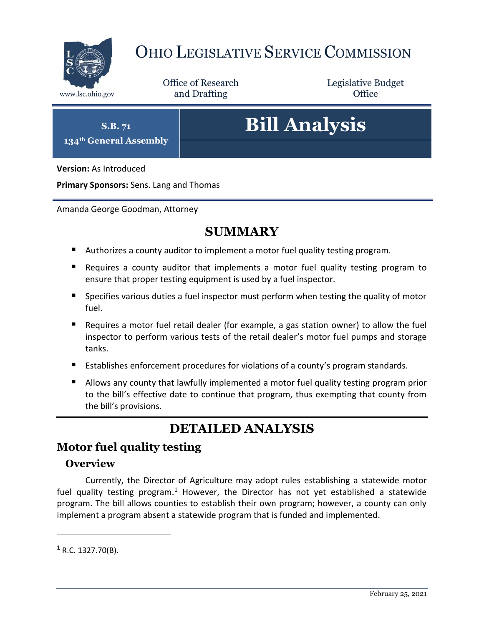

# OHIO LEGISLATIVE SERVICE COMMISSION

Office of Research www.lsc.ohio.gov **and Drafting Office** 

Legislative Budget

**S.B. 71**

**134th General Assembly**

# **Bill Analysis**

**Version:** As Introduced

**Primary Sponsors:** Sens. Lang and Thomas

Amanda George Goodman, Attorney

## **SUMMARY**

- Authorizes a county auditor to implement a motor fuel quality testing program.
- Requires a county auditor that implements a motor fuel quality testing program to ensure that proper testing equipment is used by a fuel inspector.
- Specifies various duties a fuel inspector must perform when testing the quality of motor fuel.
- Requires a motor fuel retail dealer (for example, a gas station owner) to allow the fuel inspector to perform various tests of the retail dealer's motor fuel pumps and storage tanks.
- Establishes enforcement procedures for violations of a county's program standards.
- Allows any county that lawfully implemented a motor fuel quality testing program prior to the bill's effective date to continue that program, thus exempting that county from the bill's provisions.

## **DETAILED ANALYSIS**

### **Motor fuel quality testing**

#### **Overview**

Currently, the Director of Agriculture may adopt rules establishing a statewide motor fuel quality testing program.<sup>1</sup> However, the Director has not yet established a statewide program. The bill allows counties to establish their own program; however, a county can only implement a program absent a statewide program that is funded and implemented.

 $\overline{a}$ 

 $1$  R.C. 1327.70(B).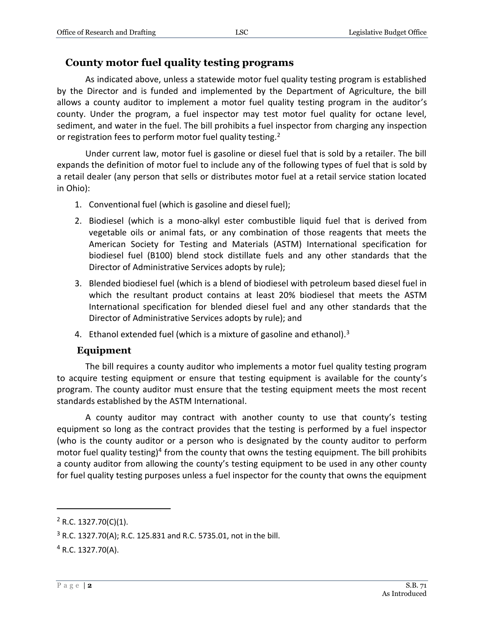#### **County motor fuel quality testing programs**

As indicated above, unless a statewide motor fuel quality testing program is established by the Director and is funded and implemented by the Department of Agriculture, the bill allows a county auditor to implement a motor fuel quality testing program in the auditor's county. Under the program, a fuel inspector may test motor fuel quality for octane level, sediment, and water in the fuel. The bill prohibits a fuel inspector from charging any inspection or registration fees to perform motor fuel quality testing.<sup>2</sup>

Under current law, motor fuel is gasoline or diesel fuel that is sold by a retailer. The bill expands the definition of motor fuel to include any of the following types of fuel that is sold by a retail dealer (any person that sells or distributes motor fuel at a retail service station located in Ohio):

- 1. Conventional fuel (which is gasoline and diesel fuel);
- 2. Biodiesel (which is a mono-alkyl ester combustible liquid fuel that is derived from vegetable oils or animal fats, or any combination of those reagents that meets the American Society for Testing and Materials (ASTM) International specification for biodiesel fuel (B100) blend stock distillate fuels and any other standards that the Director of Administrative Services adopts by rule);
- 3. Blended biodiesel fuel (which is a blend of biodiesel with petroleum based diesel fuel in which the resultant product contains at least 20% biodiesel that meets the ASTM International specification for blended diesel fuel and any other standards that the Director of Administrative Services adopts by rule); and
- 4. Ethanol extended fuel (which is a mixture of gasoline and ethanol).<sup>3</sup>

#### **Equipment**

The bill requires a county auditor who implements a motor fuel quality testing program to acquire testing equipment or ensure that testing equipment is available for the county's program. The county auditor must ensure that the testing equipment meets the most recent standards established by the ASTM International.

A county auditor may contract with another county to use that county's testing equipment so long as the contract provides that the testing is performed by a fuel inspector (who is the county auditor or a person who is designated by the county auditor to perform motor fuel quality testing)<sup>4</sup> from the county that owns the testing equipment. The bill prohibits a county auditor from allowing the county's testing equipment to be used in any other county for fuel quality testing purposes unless a fuel inspector for the county that owns the equipment

 $\overline{a}$ 

 $2$  R.C. 1327.70(C)(1).

<sup>3</sup> R.C. 1327.70(A); R.C. 125.831 and R.C. 5735.01, not in the bill.

 $4$  R.C. 1327.70(A).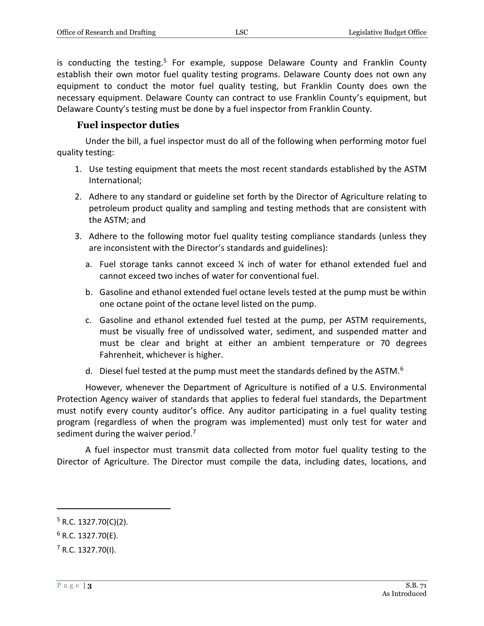is conducting the testing.<sup>5</sup> For example, suppose Delaware County and Franklin County establish their own motor fuel quality testing programs. Delaware County does not own any equipment to conduct the motor fuel quality testing, but Franklin County does own the necessary equipment. Delaware County can contract to use Franklin County's equipment, but Delaware County's testing must be done by a fuel inspector from Franklin County.

#### **Fuel inspector duties**

Under the bill, a fuel inspector must do all of the following when performing motor fuel quality testing:

- 1. Use testing equipment that meets the most recent standards established by the ASTM International;
- 2. Adhere to any standard or guideline set forth by the Director of Agriculture relating to petroleum product quality and sampling and testing methods that are consistent with the ASTM; and
- 3. Adhere to the following motor fuel quality testing compliance standards (unless they are inconsistent with the Director's standards and guidelines):
	- a. Fuel storage tanks cannot exceed  $\frac{1}{4}$  inch of water for ethanol extended fuel and cannot exceed two inches of water for conventional fuel.
	- b. Gasoline and ethanol extended fuel octane levels tested at the pump must be within one octane point of the octane level listed on the pump.
	- c. Gasoline and ethanol extended fuel tested at the pump, per ASTM requirements, must be visually free of undissolved water, sediment, and suspended matter and must be clear and bright at either an ambient temperature or 70 degrees Fahrenheit, whichever is higher.
	- d. Diesel fuel tested at the pump must meet the standards defined by the ASTM.<sup>6</sup>

However, whenever the Department of Agriculture is notified of a U.S. Environmental Protection Agency waiver of standards that applies to federal fuel standards, the Department must notify every county auditor's office. Any auditor participating in a fuel quality testing program (regardless of when the program was implemented) must only test for water and sediment during the waiver period.<sup>7</sup>

A fuel inspector must transmit data collected from motor fuel quality testing to the Director of Agriculture. The Director must compile the data, including dates, locations, and

 $\overline{a}$ 

 $5$  R.C. 1327.70(C)(2).

 $6$  R.C. 1327.70(E).

 $<sup>7</sup>$  R.C. 1327.70(I).</sup>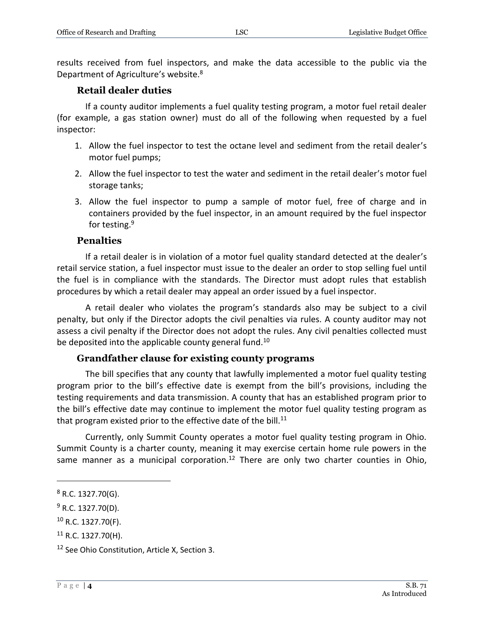#### **Retail dealer duties**

If a county auditor implements a fuel quality testing program, a motor fuel retail dealer (for example, a gas station owner) must do all of the following when requested by a fuel inspector:

- 1. Allow the fuel inspector to test the octane level and sediment from the retail dealer's motor fuel pumps;
- 2. Allow the fuel inspector to test the water and sediment in the retail dealer's motor fuel storage tanks;
- 3. Allow the fuel inspector to pump a sample of motor fuel, free of charge and in containers provided by the fuel inspector, in an amount required by the fuel inspector for testing.<sup>9</sup>

#### **Penalties**

If a retail dealer is in violation of a motor fuel quality standard detected at the dealer's retail service station, a fuel inspector must issue to the dealer an order to stop selling fuel until the fuel is in compliance with the standards. The Director must adopt rules that establish procedures by which a retail dealer may appeal an order issued by a fuel inspector.

A retail dealer who violates the program's standards also may be subject to a civil penalty, but only if the Director adopts the civil penalties via rules. A county auditor may not assess a civil penalty if the Director does not adopt the rules. Any civil penalties collected must be deposited into the applicable county general fund.<sup>10</sup>

#### **Grandfather clause for existing county programs**

The bill specifies that any county that lawfully implemented a motor fuel quality testing program prior to the bill's effective date is exempt from the bill's provisions, including the testing requirements and data transmission. A county that has an established program prior to the bill's effective date may continue to implement the motor fuel quality testing program as that program existed prior to the effective date of the bill. $11$ 

Currently, only Summit County operates a motor fuel quality testing program in Ohio. Summit County is a charter county, meaning it may exercise certain home rule powers in the same manner as a municipal corporation.<sup>12</sup> There are only two charter counties in Ohio,

 $\overline{a}$ 

 $10$  R.C. 1327.70(F).

 $8$  R.C. 1327.70(G).

 $9$  R.C. 1327.70(D).

 $11$  R.C. 1327.70(H).

<sup>&</sup>lt;sup>12</sup> See Ohio Constitution, Article X, Section 3.